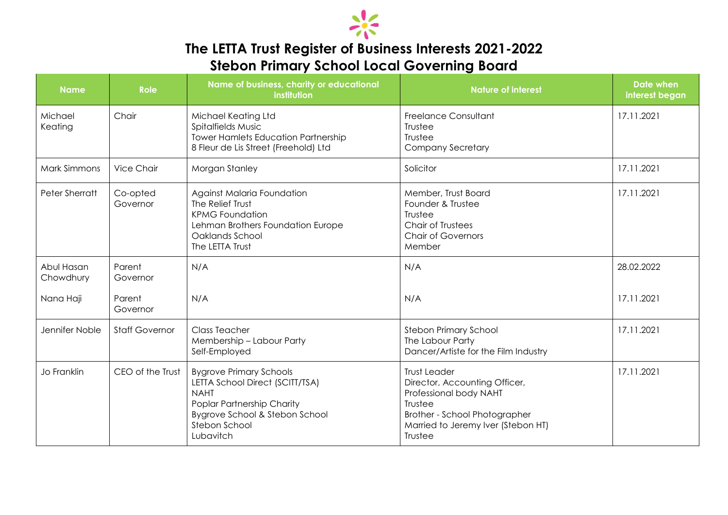

## **The LETTA Trust Register of Business Interests 2021-2022 Stebon Primary School Local Governing Board**

| <b>Name</b>             | <b>Role</b>           | Name of business, charity or educational<br>institution                                                                                                                        | <b>Nature of interest</b>                                                                                                                                                   | <b>Date when</b><br>interest began |
|-------------------------|-----------------------|--------------------------------------------------------------------------------------------------------------------------------------------------------------------------------|-----------------------------------------------------------------------------------------------------------------------------------------------------------------------------|------------------------------------|
| Michael<br>Keating      | Chair                 | Michael Keating Ltd<br>Spitalfields Music<br><b>Tower Hamlets Education Partnership</b><br>8 Fleur de Lis Street (Freehold) Ltd                                                | <b>Freelance Consultant</b><br>Trustee<br>Trustee<br><b>Company Secretary</b>                                                                                               | 17.11.2021                         |
| <b>Mark Simmons</b>     | <b>Vice Chair</b>     | Morgan Stanley                                                                                                                                                                 | Solicitor                                                                                                                                                                   | 17.11.2021                         |
| Peter Sherratt          | Co-opted<br>Governor  | Against Malaria Foundation<br>The Relief Trust<br><b>KPMG Foundation</b><br>Lehman Brothers Foundation Europe<br>Oaklands School<br>The LETTA Trust                            | Member, Trust Board<br>Founder & Trustee<br>Trustee<br><b>Chair of Trustees</b><br><b>Chair of Governors</b><br>Member                                                      | 17.11.2021                         |
| Abul Hasan<br>Chowdhury | Parent<br>Governor    | N/A                                                                                                                                                                            | N/A                                                                                                                                                                         | 28.02.2022                         |
| Nana Haji               | Parent<br>Governor    | N/A                                                                                                                                                                            | N/A                                                                                                                                                                         |                                    |
| Jennifer Noble          | <b>Staff Governor</b> | <b>Class Teacher</b><br>Membership - Labour Party<br>Self-Employed                                                                                                             | <b>Stebon Primary School</b><br>The Labour Party<br>Dancer/Artiste for the Film Industry                                                                                    | 17.11.2021                         |
| Jo Franklin             | CEO of the Trust      | <b>Bygrove Primary Schools</b><br>LETTA School Direct (SCITT/TSA)<br><b>NAHT</b><br>Poplar Partnership Charity<br>Bygrove School & Stebon School<br>Stebon School<br>Lubavitch | <b>Trust Leader</b><br>Director, Accounting Officer,<br>Professional body NAHT<br>Trustee<br>Brother - School Photographer<br>Married to Jeremy Iver (Stebon HT)<br>Trustee | 17.11.2021                         |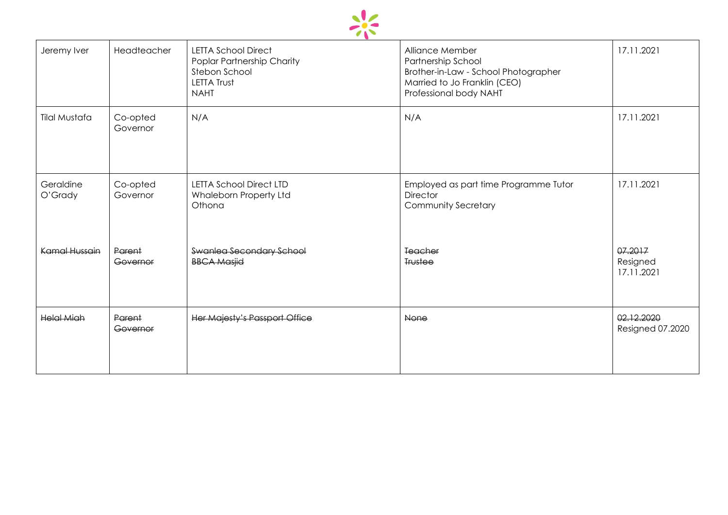

| Jeremy Iver          | Headteacher          | <b>LETTA School Direct</b><br>Poplar Partnership Charity<br>Stebon School<br><b>LETTA Trust</b><br><b>NAHT</b> | Alliance Member<br>Partnership School<br>Brother-in-Law - School Photographer<br>Married to Jo Franklin (CEO)<br>Professional body NAHT | 17.11.2021                        |
|----------------------|----------------------|----------------------------------------------------------------------------------------------------------------|-----------------------------------------------------------------------------------------------------------------------------------------|-----------------------------------|
| <b>Tilal Mustafa</b> | Co-opted<br>Governor | N/A                                                                                                            | N/A                                                                                                                                     | 17.11.2021                        |
| Geraldine<br>O'Grady | Co-opted<br>Governor | <b>LETTA School Direct LTD</b><br>Whaleborn Property Ltd<br>Othona                                             | Employed as part time Programme Tutor<br><b>Director</b><br>Community Secretary                                                         | 17.11.2021                        |
| Kamal Hussain        | Parent<br>Governor   | Swanlea Secondary School<br><b>BBCA Masjid</b>                                                                 | <b>Teacher</b><br><b>Trustee</b>                                                                                                        | 07.2017<br>Resigned<br>17.11.2021 |
| <b>Helal Miah</b>    | Parent<br>Governor   | Her Majesty's Passport Office                                                                                  | None                                                                                                                                    | 02.12.2020<br>Resigned 07.2020    |